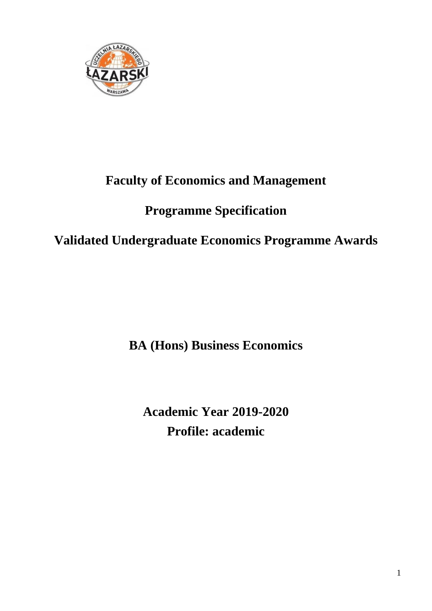

# **Faculty of Economics and Management**

# **Programme Specification**

# **Validated Undergraduate Economics Programme Awards**

**BA (Hons) Business Economics**

**Academic Year 2019-2020 Profile: academic**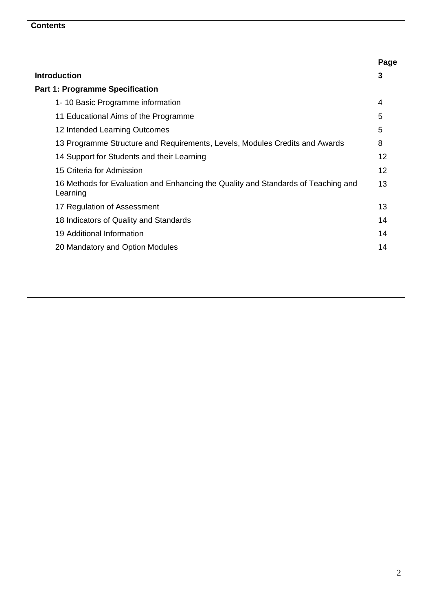# **Contents**

|                                                                                               | Page |
|-----------------------------------------------------------------------------------------------|------|
| <b>Introduction</b>                                                                           | 3    |
| <b>Part 1: Programme Specification</b>                                                        |      |
| 1-10 Basic Programme information                                                              | 4    |
| 11 Educational Aims of the Programme                                                          | 5    |
| 12 Intended Learning Outcomes                                                                 | 5    |
| 13 Programme Structure and Requirements, Levels, Modules Credits and Awards                   | 8    |
| 14 Support for Students and their Learning                                                    | 12   |
| 15 Criteria for Admission                                                                     | 12   |
| 16 Methods for Evaluation and Enhancing the Quality and Standards of Teaching and<br>Learning | 13   |
| 17 Regulation of Assessment                                                                   | 13   |
| 18 Indicators of Quality and Standards                                                        | 14   |
| 19 Additional Information                                                                     | 14   |
| 20 Mandatory and Option Modules                                                               | 14   |
|                                                                                               |      |
|                                                                                               |      |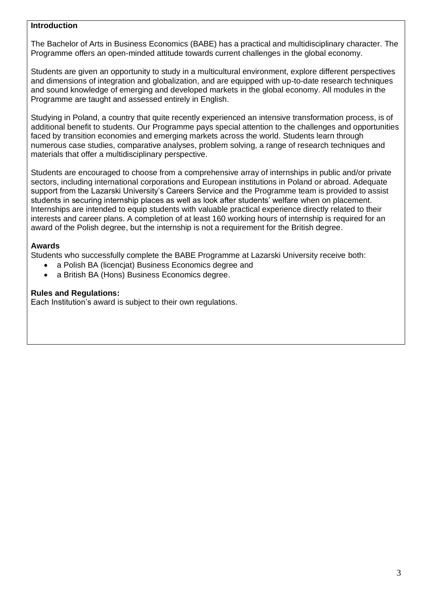#### **Introduction**

The Bachelor of Arts in Business Economics (BABE) has a practical and multidisciplinary character. The Programme offers an open-minded attitude towards current challenges in the global economy.

Students are given an opportunity to study in a multicultural environment, explore different perspectives and dimensions of integration and globalization, and are equipped with up-to-date research techniques and sound knowledge of emerging and developed markets in the global economy. All modules in the Programme are taught and assessed entirely in English.

Studying in Poland, a country that quite recently experienced an intensive transformation process, is of additional benefit to students. Our Programme pays special attention to the challenges and opportunities faced by transition economies and emerging markets across the world. Students learn through numerous case studies, comparative analyses, problem solving, a range of research techniques and materials that offer a multidisciplinary perspective.

Students are encouraged to choose from a comprehensive array of internships in public and/or private sectors, including international corporations and European institutions in Poland or abroad. Adequate support from the Lazarski University's Careers Service and the Programme team is provided to assist students in securing internship places as well as look after students' welfare when on placement. Internships are intended to equip students with valuable practical experience directly related to their interests and career plans. A completion of at least 160 working hours of internship is required for an award of the Polish degree, but the internship is not a requirement for the British degree.

### **Awards**

Students who successfully complete the BABE Programme at Lazarski University receive both:

- a Polish BA (licencjat) Business Economics degree and
- a British BA (Hons) Business Economics degree.

### **Rules and Regulations:**

Each Institution's award is subject to their own regulations.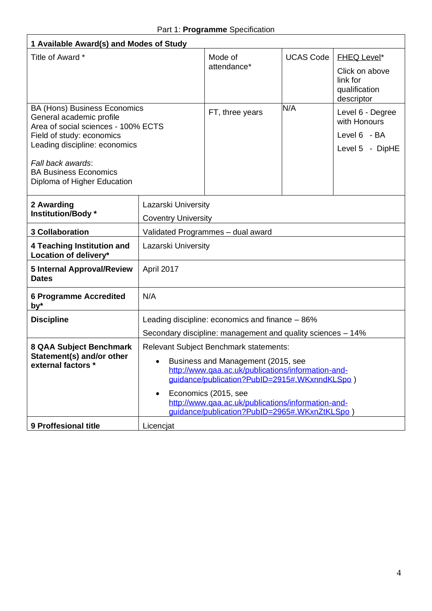$\overline{1}$ 

| 1 Available Award(s) and Modes of Study                                                                                                                                                                                                                  |                                                                                                                                                                                                                                                                                                                                       |                                                 |                  |                                                                                 |  |
|----------------------------------------------------------------------------------------------------------------------------------------------------------------------------------------------------------------------------------------------------------|---------------------------------------------------------------------------------------------------------------------------------------------------------------------------------------------------------------------------------------------------------------------------------------------------------------------------------------|-------------------------------------------------|------------------|---------------------------------------------------------------------------------|--|
| Title of Award *                                                                                                                                                                                                                                         |                                                                                                                                                                                                                                                                                                                                       | Mode of<br>attendance*                          | <b>UCAS Code</b> | <b>FHEQ Level*</b><br>Click on above<br>link for<br>qualification<br>descriptor |  |
| <b>BA (Hons) Business Economics</b><br>General academic profile<br>Area of social sciences - 100% ECTS<br>Field of study: economics<br>Leading discipline: economics<br>Fall back awards:<br><b>BA Business Economics</b><br>Diploma of Higher Education |                                                                                                                                                                                                                                                                                                                                       | FT, three years                                 | N/A              | Level 6 - Degree<br>with Honours<br>Level 6 - BA<br>Level 5 - DipHE             |  |
| 2 Awarding<br>Institution/Body*                                                                                                                                                                                                                          | Lazarski University<br><b>Coventry University</b>                                                                                                                                                                                                                                                                                     |                                                 |                  |                                                                                 |  |
| <b>3 Collaboration</b>                                                                                                                                                                                                                                   |                                                                                                                                                                                                                                                                                                                                       | Validated Programmes - dual award               |                  |                                                                                 |  |
| 4 Teaching Institution and<br>Location of delivery*                                                                                                                                                                                                      | Lazarski University                                                                                                                                                                                                                                                                                                                   |                                                 |                  |                                                                                 |  |
| <b>5 Internal Approval/Review</b><br><b>Dates</b>                                                                                                                                                                                                        | April 2017                                                                                                                                                                                                                                                                                                                            |                                                 |                  |                                                                                 |  |
| <b>6 Programme Accredited</b><br>by*                                                                                                                                                                                                                     | N/A                                                                                                                                                                                                                                                                                                                                   |                                                 |                  |                                                                                 |  |
| <b>Discipline</b>                                                                                                                                                                                                                                        |                                                                                                                                                                                                                                                                                                                                       | Leading discipline: economics and finance - 86% |                  |                                                                                 |  |
|                                                                                                                                                                                                                                                          | Secondary discipline: management and quality sciences – 14%                                                                                                                                                                                                                                                                           |                                                 |                  |                                                                                 |  |
| 8 QAA Subject Benchmark<br>Statement(s) and/or other<br>external factors *                                                                                                                                                                               | <b>Relevant Subject Benchmark statements:</b><br>Business and Management (2015, see<br>http://www.qaa.ac.uk/publications/information-and-<br>guidance/publication?PublD=2915#.WKxnndKLSpo)<br>Economics (2015, see<br>$\bullet$<br>http://www.qaa.ac.uk/publications/information-and-<br>guidance/publication?PubID=2965#.WKxnZtKLSpo |                                                 |                  |                                                                                 |  |
| 9 Proffesional title                                                                                                                                                                                                                                     | Licencjat                                                                                                                                                                                                                                                                                                                             |                                                 |                  |                                                                                 |  |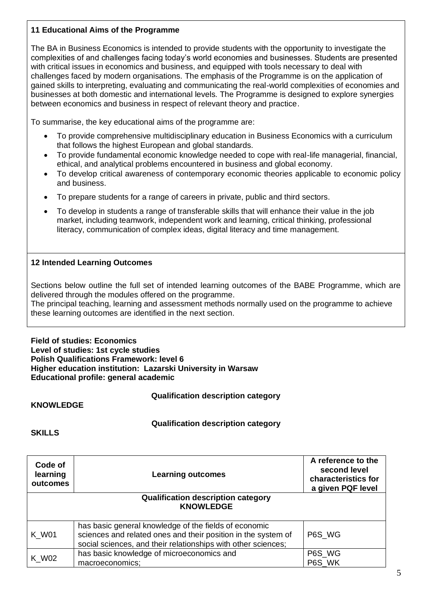### **11 Educational Aims of the Programme**

The BA in Business Economics is intended to provide students with the opportunity to investigate the complexities of and challenges facing today's world economies and businesses. Students are presented with critical issues in economics and business, and equipped with tools necessary to deal with challenges faced by modern organisations. The emphasis of the Programme is on the application of gained skills to interpreting, evaluating and communicating the real-world complexities of economies and businesses at both domestic and international levels. The Programme is designed to explore synergies between economics and business in respect of relevant theory and practice.

To summarise, the key educational aims of the programme are:

- To provide comprehensive multidisciplinary education in Business Economics with a curriculum that follows the highest European and global standards.
- To provide fundamental economic knowledge needed to cope with real-life managerial, financial, ethical, and analytical problems encountered in business and global economy.
- To develop critical awareness of contemporary economic theories applicable to economic policy and business.
- To prepare students for a range of careers in private, public and third sectors.
- To develop in students a range of transferable skills that will enhance their value in the job market, including teamwork, independent work and learning, critical thinking, professional literacy, communication of complex ideas, digital literacy and time management.

# **12 Intended Learning Outcomes**

Sections below outline the full set of intended learning outcomes of the BABE Programme, which are delivered through the modules offered on the programme.

The principal teaching, learning and assessment methods normally used on the programme to achieve these learning outcomes are identified in the next section.

**Field of studies: Economics Level of studies: 1st cycle studies Polish Qualifications Framework: level 6 Higher education institution: Lazarski University in Warsaw Educational profile: general academic**

**Qualification description category** 

#### **KNOWLEDGE**

# **Qualification description category**

**SKILLS**

| Code of<br>learning<br>outcomes | <b>Learning outcomes</b>                                                                                                                                                                | A reference to the<br>second level<br>characteristics for<br>a given PQF level |
|---------------------------------|-----------------------------------------------------------------------------------------------------------------------------------------------------------------------------------------|--------------------------------------------------------------------------------|
|                                 | <b>Qualification description category</b><br><b>KNOWLEDGE</b>                                                                                                                           |                                                                                |
|                                 |                                                                                                                                                                                         |                                                                                |
| K W01                           | has basic general knowledge of the fields of economic<br>sciences and related ones and their position in the system of<br>social sciences, and their relationships with other sciences; | P6S WG                                                                         |
| K W02                           | has basic knowledge of microeconomics and<br>macroeconomics;                                                                                                                            | P6S_WG<br>P6S WK                                                               |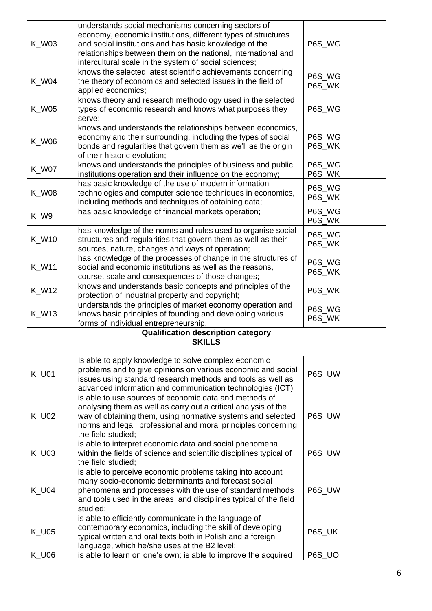| K_W03        | understands social mechanisms concerning sectors of<br>economy, economic institutions, different types of structures<br>and social institutions and has basic knowledge of the<br>relationships between them on the national, international and<br>intercultural scale in the system of social sciences; | P6S_WG           |
|--------------|----------------------------------------------------------------------------------------------------------------------------------------------------------------------------------------------------------------------------------------------------------------------------------------------------------|------------------|
| <b>K_W04</b> | knows the selected latest scientific achievements concerning<br>the theory of economics and selected issues in the field of<br>applied economics;                                                                                                                                                        | P6S_WG<br>P6S_WK |
| <b>K_W05</b> | knows theory and research methodology used in the selected<br>types of economic research and knows what purposes they<br>serve;                                                                                                                                                                          | P6S_WG           |
| <b>K_W06</b> | knows and understands the relationships between economics,<br>economy and their surrounding, including the types of social<br>bonds and regularities that govern them as we'll as the origin<br>of their historic evolution;                                                                             | P6S_WG<br>P6S_WK |
| <b>K_W07</b> | knows and understands the principles of business and public<br>institutions operation and their influence on the economy;                                                                                                                                                                                | P6S_WG<br>P6S_WK |
| <b>K_W08</b> | has basic knowledge of the use of modern information<br>technologies and computer science techniques in economics,<br>including methods and techniques of obtaining data;                                                                                                                                | P6S_WG<br>P6S_WK |
| K_W9         | has basic knowledge of financial markets operation;                                                                                                                                                                                                                                                      | P6S WG<br>P6S_WK |
| <b>K_W10</b> | has knowledge of the norms and rules used to organise social<br>structures and regularities that govern them as well as their<br>sources, nature, changes and ways of operation;                                                                                                                         | P6S_WG<br>P6S_WK |
| <b>K_W11</b> | has knowledge of the processes of change in the structures of<br>social and economic institutions as well as the reasons,<br>course, scale and consequences of those changes;                                                                                                                            | P6S_WG<br>P6S_WK |
| K_W12        | knows and understands basic concepts and principles of the<br>protection of industrial property and copyright;                                                                                                                                                                                           | P6S_WK           |
| K_W13        | understands the principles of market economy operation and<br>knows basic principles of founding and developing various<br>forms of individual entrepreneurship.                                                                                                                                         | P6S_WG<br>P6S_WK |
|              | <b>Qualification description category</b><br><b>SKILLS</b>                                                                                                                                                                                                                                               |                  |
| <b>K_U01</b> | Is able to apply knowledge to solve complex economic<br>problems and to give opinions on various economic and social<br>issues using standard research methods and tools as well as<br>advanced information and communication technologies (ICT)                                                         | P6S_UW           |
| K U02        | is able to use sources of economic data and methods of<br>analysing them as well as carry out a critical analysis of the<br>way of obtaining them, using normative systems and selected<br>norms and legal, professional and moral principles concerning<br>the field studied;                           | P6S_UW           |
| <b>K_U03</b> | is able to interpret economic data and social phenomena<br>within the fields of science and scientific disciplines typical of<br>the field studied;                                                                                                                                                      | P6S_UW           |
| <b>K_U04</b> | is able to perceive economic problems taking into account<br>many socio-economic determinants and forecast social<br>phenomena and processes with the use of standard methods<br>and tools used in the areas and disciplines typical of the field<br>studied;                                            | P6S_UW           |
| <b>K_U05</b> | is able to efficiently communicate in the language of<br>contemporary economics, including the skill of developing<br>typical written and oral texts both in Polish and a foreign<br>language, which he/she uses at the B2 level;                                                                        | P6S_UK           |
| <b>K_U06</b> | is able to learn on one's own; is able to improve the acquired                                                                                                                                                                                                                                           | P6S_UO           |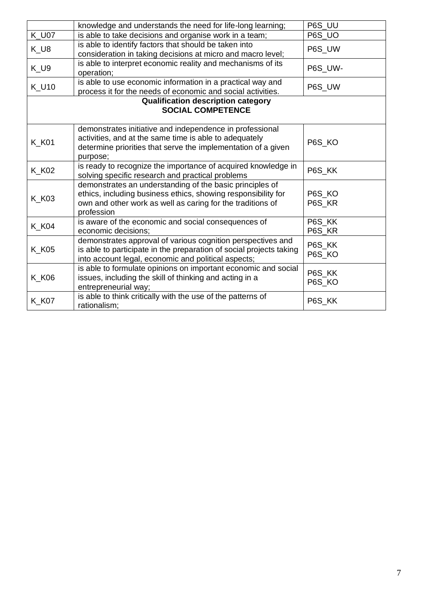|              | knowledge and understands the need for life-long learning;                                                                                                                                            | P6S_UU           |
|--------------|-------------------------------------------------------------------------------------------------------------------------------------------------------------------------------------------------------|------------------|
| <b>K_U07</b> | is able to take decisions and organise work in a team;                                                                                                                                                | P6S_UO           |
| $K_U8$       | is able to identify factors that should be taken into<br>consideration in taking decisions at micro and macro level;                                                                                  | P6S UW           |
| $K_U9$       | is able to interpret economic reality and mechanisms of its<br>operation;                                                                                                                             | P6S_UW-          |
| <b>K_U10</b> | is able to use economic information in a practical way and<br>process it for the needs of economic and social activities.                                                                             | P6S_UW           |
|              | <b>Qualification description category</b><br><b>SOCIAL COMPETENCE</b>                                                                                                                                 |                  |
| <b>K_K01</b> | demonstrates initiative and independence in professional<br>activities, and at the same time is able to adequately<br>determine priorities that serve the implementation of a given<br>purpose;       | P6S KO           |
| <b>K_K02</b> | is ready to recognize the importance of acquired knowledge in<br>solving specific research and practical problems                                                                                     | P6S_KK           |
| <b>K_K03</b> | demonstrates an understanding of the basic principles of<br>ethics, including business ethics, showing responsibility for<br>own and other work as well as caring for the traditions of<br>profession | P6S KO<br>P6S KR |
| <b>K_K04</b> | is aware of the economic and social consequences of<br>economic decisions;                                                                                                                            | P6S_KK<br>P6S_KR |
| <b>K_K05</b> | demonstrates approval of various cognition perspectives and<br>is able to participate in the preparation of social projects taking<br>into account legal, economic and political aspects;             | P6S KK<br>P6S_KO |
| <b>K_K06</b> | is able to formulate opinions on important economic and social<br>issues, including the skill of thinking and acting in a<br>entrepreneurial way;                                                     | P6S_KK<br>P6S_KO |
| <b>K_K07</b> | is able to think critically with the use of the patterns of<br>rationalism;                                                                                                                           | P6S_KK           |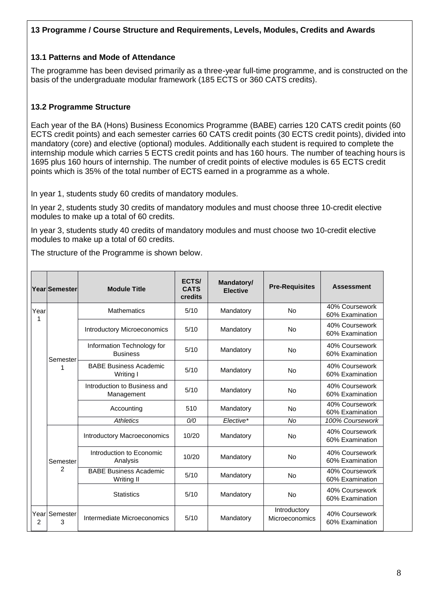### **13 Programme / Course Structure and Requirements, Levels, Modules, Credits and Awards**

#### **13.1 Patterns and Mode of Attendance**

The programme has been devised primarily as a three-year full-time programme, and is constructed on the basis of the undergraduate modular framework (185 ECTS or 360 CATS credits).

# **13.2 Programme Structure**

Each year of the BA (Hons) Business Economics Programme (BABE) carries 120 CATS credit points (60 ECTS credit points) and each semester carries 60 CATS credit points (30 ECTS credit points), divided into mandatory (core) and elective (optional) modules. Additionally each student is required to complete the internship module which carries 5 ECTS credit points and has 160 hours. The number of teaching hours is 1695 plus 160 hours of internship. The number of credit points of elective modules is 65 ECTS credit points which is 35% of the total number of ECTS earned in a programme as a whole.

In year 1, students study 60 credits of mandatory modules.

In year 2, students study 30 credits of mandatory modules and must choose three 10-credit elective modules to make up a total of 60 credits.

In year 3, students study 40 credits of mandatory modules and must choose two 10-credit elective modules to make up a total of 60 credits.

The structure of the Programme is shown below.

|            | Year Semester  | <b>Module Title</b>                           | ECTS/<br><b>CATS</b><br>credits | Mandatory/<br><b>Pre-Requisites</b><br><b>Elective</b> |                                | <b>Assessment</b>                 |
|------------|----------------|-----------------------------------------------|---------------------------------|--------------------------------------------------------|--------------------------------|-----------------------------------|
| Year<br>1  |                | <b>Mathematics</b>                            | 5/10                            | Mandatory                                              | <b>No</b>                      | 40% Coursework<br>60% Examination |
|            |                | <b>Introductory Microeconomics</b>            | 5/10                            | Mandatory                                              | <b>No</b>                      | 40% Coursework<br>60% Examination |
|            | Semester       | Information Technology for<br><b>Business</b> | 5/10                            | Mandatory                                              | <b>No</b>                      | 40% Coursework<br>60% Examination |
|            | 1<br>Writing I | <b>BABE Business Academic</b>                 | 5/10                            | Mandatory                                              | No                             | 40% Coursework<br>60% Examination |
|            |                | Introduction to Business and<br>Management    | 5/10                            | Mandatory                                              | <b>No</b>                      | 40% Coursework<br>60% Examination |
|            |                | Accounting                                    | 510                             | Mandatory                                              | <b>No</b>                      | 40% Coursework<br>60% Examination |
|            |                | <b>Athletics</b>                              | O/O                             | Elective*                                              | <b>No</b>                      | 100% Coursework                   |
|            |                | Introductory Macroeconomics                   | 10/20                           | Mandatory                                              | <b>No</b>                      | 40% Coursework<br>60% Examination |
|            | Semester       | Introduction to Economic<br>Analysis          | 10/20                           | Mandatory                                              | <b>No</b>                      | 40% Coursework<br>60% Examination |
|            | $\mathcal{P}$  | <b>BABE Business Academic</b><br>Writing II   | 5/10                            | Mandatory                                              | <b>No</b>                      | 40% Coursework<br>60% Examination |
|            |                | <b>Statistics</b>                             | 5/10                            | Mandatory                                              | No                             | 40% Coursework<br>60% Examination |
| Yearl<br>2 | Semester<br>3  | Intermediate Microeconomics                   | 5/10                            | Mandatory                                              | Introductory<br>Microeconomics | 40% Coursework<br>60% Examination |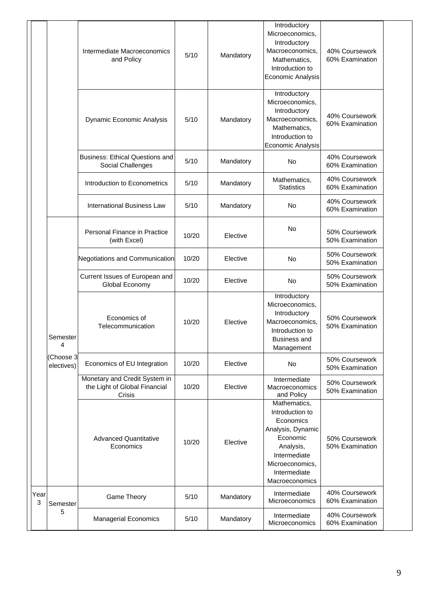|                       |          | Intermediate Macroeconomics<br>and Policy                                | 5/10  | Mandatory | Introductory<br>Microeconomics,<br>Introductory<br>Macroeconomics,<br>Mathematics,<br>Introduction to<br><b>Economic Analysis</b>                               | 40% Coursework<br>60% Examination |
|-----------------------|----------|--------------------------------------------------------------------------|-------|-----------|-----------------------------------------------------------------------------------------------------------------------------------------------------------------|-----------------------------------|
|                       |          | <b>Dynamic Economic Analysis</b>                                         | 5/10  | Mandatory | Introductory<br>Microeconomics,<br>Introductory<br>Macroeconomics,<br>Mathematics,<br>Introduction to<br>Economic Analysis                                      | 40% Coursework<br>60% Examination |
|                       |          | <b>Business: Ethical Questions and</b><br>Social Challenges              | 5/10  | Mandatory | <b>No</b>                                                                                                                                                       | 40% Coursework<br>60% Examination |
|                       |          | Introduction to Econometrics                                             | 5/10  | Mandatory | Mathematics,<br><b>Statistics</b>                                                                                                                               | 40% Coursework<br>60% Examination |
|                       |          | <b>International Business Law</b>                                        | 5/10  | Mandatory | No                                                                                                                                                              | 40% Coursework<br>60% Examination |
|                       |          | Personal Finance in Practice<br>(with Excel)                             | 10/20 | Elective  | No                                                                                                                                                              | 50% Coursework<br>50% Examination |
|                       |          | Negotiations and Communication                                           | 10/20 | Elective  | No                                                                                                                                                              | 50% Coursework<br>50% Examination |
|                       |          | Current Issues of European and<br>Global Economy                         | 10/20 | Elective  | <b>No</b>                                                                                                                                                       | 50% Coursework<br>50% Examination |
| 4                     | Semester | Economics of<br>Telecommunication                                        | 10/20 | Elective  | Introductory<br>Microeconomics,<br>Introductory<br>Macroeconomics,<br>Introduction to<br><b>Business and</b><br>Management                                      | 50% Coursework<br>50% Examination |
| electives)            | Choose 3 | Economics of EU Integration                                              | 10/20 | Elective  | No                                                                                                                                                              | 50% Coursework<br>50% Examination |
|                       |          | Monetary and Credit System in<br>the Light of Global Financial<br>Crisis | 10/20 | Elective  | Intermediate<br>Macroeconomics<br>and Policy                                                                                                                    | 50% Coursework<br>50% Examination |
|                       |          | <b>Advanced Quantitative</b><br>Economics                                | 10/20 | Elective  | Mathematics,<br>Introduction to<br>Economics<br>Analysis, Dynamic<br>Economic<br>Analysis,<br>Intermediate<br>Microeconomics,<br>Intermediate<br>Macroeconomics | 50% Coursework<br>50% Examination |
| Year<br>3<br>Semester |          | <b>Game Theory</b>                                                       | 5/10  | Mandatory | Intermediate<br>Microeconomics                                                                                                                                  | 40% Coursework<br>60% Examination |
| 5                     |          | <b>Managerial Economics</b>                                              | 5/10  | Mandatory | Intermediate<br>Microeconomics                                                                                                                                  | 40% Coursework<br>60% Examination |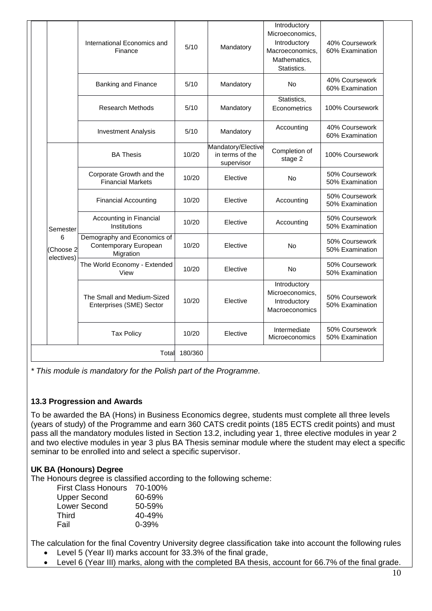|                              | International Economics and<br>Finance                            | 5/10    | Mandatory                                           | Introductory<br>Microeconomics,<br>Introductory<br>Macroeconomics,<br>Mathematics,<br>Statistics. | 40% Coursework<br>60% Examination |
|------------------------------|-------------------------------------------------------------------|---------|-----------------------------------------------------|---------------------------------------------------------------------------------------------------|-----------------------------------|
|                              | <b>Banking and Finance</b>                                        | 5/10    | Mandatory                                           | No                                                                                                | 40% Coursework<br>60% Examination |
|                              | <b>Research Methods</b>                                           | 5/10    | Mandatory                                           | Statistics,<br>Econometrics                                                                       | 100% Coursework                   |
|                              | <b>Investment Analysis</b>                                        | 5/10    | Mandatory                                           | Accounting                                                                                        | 40% Coursework<br>60% Examination |
|                              | <b>BA Thesis</b>                                                  | 10/20   | Mandatory/Elective<br>in terms of the<br>supervisor | Completion of<br>stage 2                                                                          | 100% Coursework                   |
|                              | Corporate Growth and the<br><b>Financial Markets</b>              | 10/20   | Elective                                            | No                                                                                                | 50% Coursework<br>50% Examination |
|                              | <b>Financial Accounting</b>                                       | 10/20   | Elective                                            | Accounting                                                                                        | 50% Coursework<br>50% Examination |
| Semester                     | Accounting in Financial<br>Institutions                           | 10/20   | Elective                                            | Accounting                                                                                        | 50% Coursework<br>50% Examination |
| 6<br>(Choose 2<br>electives) | Demography and Economics of<br>Contemporary European<br>Migration | 10/20   | Elective                                            | No                                                                                                | 50% Coursework<br>50% Examination |
|                              | The World Economy - Extended<br>View                              | 10/20   | Elective                                            | No                                                                                                | 50% Coursework<br>50% Examination |
|                              | The Small and Medium-Sized<br>Enterprises (SME) Sector            | 10/20   | Elective                                            | Introductory<br>Microeconomics,<br>Introductory<br>Macroeconomics                                 | 50% Coursework<br>50% Examination |
|                              | <b>Tax Policy</b>                                                 | 10/20   | Elective                                            | Intermediate<br>Microeconomics                                                                    | 50% Coursework<br>50% Examination |
|                              | Total                                                             | 180/360 |                                                     |                                                                                                   |                                   |

*\* This module is mandatory for the Polish part of the Programme.*

# **13.3 Progression and Awards**

To be awarded the BA (Hons) in Business Economics degree, students must complete all three levels (years of study) of the Programme and earn 360 CATS credit points (185 ECTS credit points) and must pass all the mandatory modules listed in Section 13.2, including year 1, three elective modules in year 2 and two elective modules in year 3 plus BA Thesis seminar module where the student may elect a specific seminar to be enrolled into and select a specific supervisor.

# **UK BA (Honours) Degree**

The Honours degree is classified according to the following scheme:

| <b>First Class Honours</b> | 70-100%    |
|----------------------------|------------|
| <b>Upper Second</b>        | 60-69%     |
| Lower Second               | 50-59%     |
| <b>Third</b>               | $40 - 49%$ |
| Fail                       | $0 - 39%$  |

The calculation for the final Coventry University degree classification take into account the following rules

- Level 5 (Year II) marks account for 33.3% of the final grade,
- Level 6 (Year III) marks, along with the completed BA thesis, account for 66.7% of the final grade.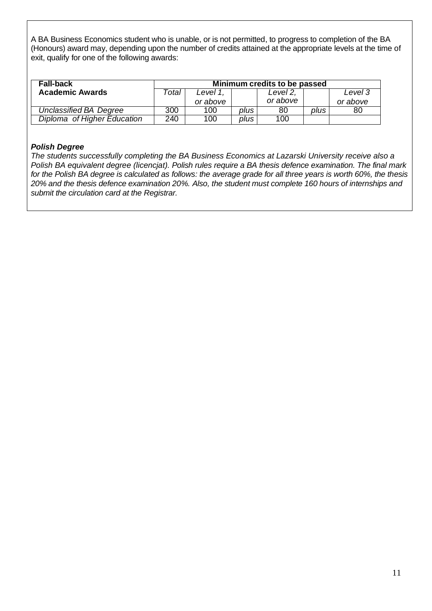A BA Business Economics student who is unable, or is not permitted, to progress to completion of the BA (Honours) award may, depending upon the number of credits attained at the appropriate levels at the time of exit, qualify for one of the following awards:

| <b>Fall-back</b>            | Minimum credits to be passed |          |      |          |      |          |
|-----------------------------|------------------------------|----------|------|----------|------|----------|
| <b>Academic Awards</b>      | Total                        | Level 1. |      | Level 2. |      | Level 3  |
|                             |                              | or above |      | or above |      | or above |
| Unclassified BA Degree      | 300                          | 100      | plus | 80       | plus | 80       |
| Diploma of Higher Education | 240                          | 100      | plus | 100      |      |          |

### *Polish Degree*

*The students successfully completing the BA Business Economics at Lazarski University receive also a Polish BA equivalent degree (licencjat). Polish rules require a BA thesis defence examination. The final mark for the Polish BA degree is calculated as follows: the average grade for all three years is worth 60%, the thesis 20% and the thesis defence examination 20%. Also, the student must complete 160 hours of internships and submit the circulation card at the Registrar.*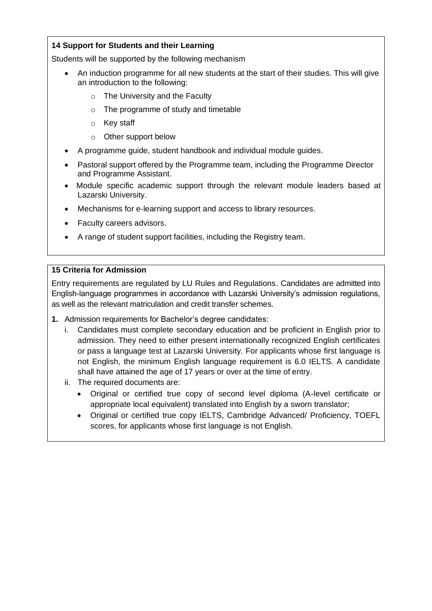# **14 Support for Students and their Learning**

Students will be supported by the following mechanism

- An induction programme for all new students at the start of their studies. This will give an introduction to the following:
	- o The University and the Faculty
	- o The programme of study and timetable
	- o Key staff
	- o Other support below
- A programme guide, student handbook and individual module guides.
- Pastoral support offered by the Programme team, including the Programme Director and Programme Assistant.
- Module specific academic support through the relevant module leaders based at Lazarski University.
- Mechanisms for e-learning support and access to library resources.
- Faculty careers advisors.
- A range of student support facilities, including the Registry team.

# **15 Criteria for Admission**

Entry requirements are regulated by LU Rules and Regulations. Candidates are admitted into English-language programmes in accordance with Lazarski University's admission regulations, as well as the relevant matriculation and credit transfer schemes.

- **1.** Admission requirements for Bachelor's degree candidates:
	- i. Candidates must complete secondary education and be proficient in English prior to admission. They need to either present internationally recognized English certificates or pass a language test at Lazarski University. For applicants whose first language is not English, the minimum English language requirement is 6.0 IELTS. A candidate shall have attained the age of 17 years or over at the time of entry.
	- ii. The required documents are:
		- Original or certified true copy of second level diploma (A-level certificate or appropriate local equivalent) translated into English by a sworn translator;
		- Original or certified true copy IELTS, Cambridge Advanced/ Proficiency, TOEFL scores, for applicants whose first language is not English.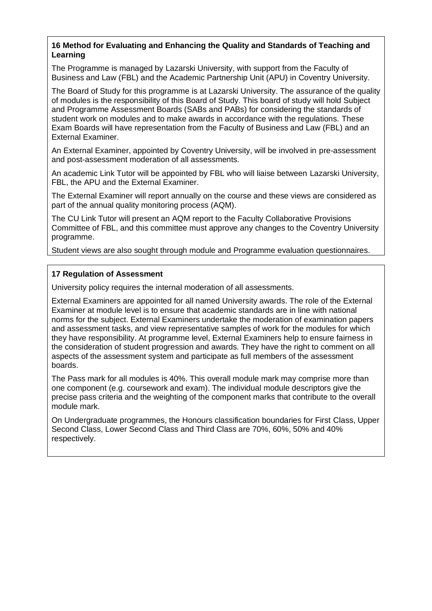### **16 Method for Evaluating and Enhancing the Quality and Standards of Teaching and Learning**

The Programme is managed by Lazarski University, with support from the Faculty of Business and Law (FBL) and the Academic Partnership Unit (APU) in Coventry University.

The Board of Study for this programme is at Lazarski University. The assurance of the quality of modules is the responsibility of this Board of Study. This board of study will hold Subject and Programme Assessment Boards (SABs and PABs) for considering the standards of student work on modules and to make awards in accordance with the regulations. These Exam Boards will have representation from the Faculty of Business and Law (FBL) and an External Examiner.

An External Examiner, appointed by Coventry University, will be involved in pre-assessment and post-assessment moderation of all assessments.

An academic Link Tutor will be appointed by FBL who will liaise between Lazarski University, FBL, the APU and the External Examiner.

The External Examiner will report annually on the course and these views are considered as part of the annual quality monitoring process (AQM).

The CU Link Tutor will present an AQM report to the Faculty Collaborative Provisions Committee of FBL, and this committee must approve any changes to the Coventry University programme.

Student views are also sought through module and Programme evaluation questionnaires.

### **17 Regulation of Assessment**

University policy requires the internal moderation of all assessments.

External Examiners are appointed for all named University awards. The role of the External Examiner at module level is to ensure that academic standards are in line with national norms for the subject. External Examiners undertake the moderation of examination papers and assessment tasks, and view representative samples of work for the modules for which they have responsibility. At programme level, External Examiners help to ensure fairness in the consideration of student progression and awards. They have the right to comment on all aspects of the assessment system and participate as full members of the assessment boards.

The Pass mark for all modules is 40%. This overall module mark may comprise more than one component (e.g. coursework and exam). The individual module descriptors give the precise pass criteria and the weighting of the component marks that contribute to the overall module mark.

On Undergraduate programmes, the Honours classification boundaries for First Class, Upper Second Class, Lower Second Class and Third Class are 70%, 60%, 50% and 40% respectively.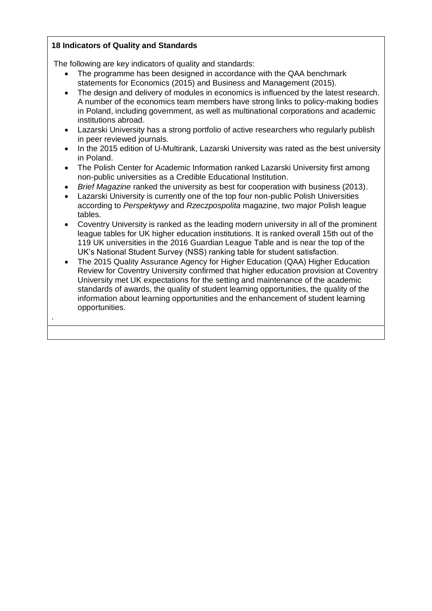### **18 Indicators of Quality and Standards**

.

The following are key indicators of quality and standards:

- The programme has been designed in accordance with the QAA benchmark statements for Economics (2015) and Business and Management (2015).
- The design and delivery of modules in economics is influenced by the latest research. A number of the economics team members have strong links to policy-making bodies in Poland, including government, as well as multinational corporations and academic institutions abroad.
- Lazarski University has a strong portfolio of active researchers who regularly publish in peer reviewed journals.
- In the 2015 edition of [U-Multirank,](https://en.wikipedia.org/wiki/U-Multirank) Lazarski University was rated as the best university in Poland.
- The Polish Center for Academic Information ranked Lazarski University first among non-public universities as a Credible Educational Institution.
- *Brief Magazine* ranked the university as best for cooperation with business (2013).
- Lazarski University is currently one of the top four non-public Polish Universities according to *[Perspektywy](https://en.wikipedia.org/w/index.php?title=Perspektywy&action=edit&redlink=1)* and *[Rzeczpospolita](https://en.wikipedia.org/wiki/Rzeczpospolita)* magazine, two major Polish league tables.
- Coventry University is ranked as the leading modern university in all of the prominent league tables for UK higher education institutions. It is ranked overall 15th out of the 119 UK universities in the 2016 Guardian League Table and is near the top of the UK's National Student Survey (NSS) ranking table for student satisfaction.
- The 2015 Quality Assurance Agency for Higher Education (QAA) Higher Education Review for Coventry University confirmed that higher education provision at Coventry University met UK expectations for the setting and maintenance of the academic standards of awards, the quality of student learning opportunities, the quality of the information about learning opportunities and the enhancement of student learning opportunities.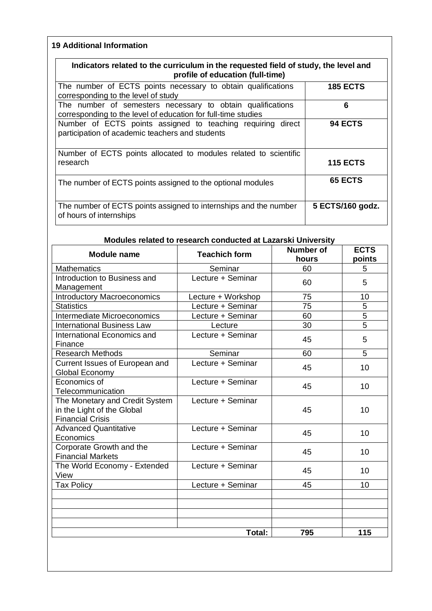# **19 Additional Information**

| Indicators related to the curriculum in the requested field of study, the level and<br>profile of education (full-time)     |                  |
|-----------------------------------------------------------------------------------------------------------------------------|------------------|
| The number of ECTS points necessary to obtain qualifications<br>corresponding to the level of study                         | <b>185 ECTS</b>  |
| The number of semesters necessary to obtain qualifications<br>corresponding to the level of education for full-time studies | 6                |
| Number of ECTS points assigned to teaching requiring direct<br>participation of academic teachers and students              | 94 ECTS          |
| Number of ECTS points allocated to modules related to scientific<br>research                                                | <b>115 ECTS</b>  |
| The number of ECTS points assigned to the optional modules                                                                  | <b>65 ECTS</b>   |
| The number of ECTS points assigned to internships and the number<br>of hours of internships                                 | 5 ECTS/160 godz. |

# **Modules related to research conducted at Lazarski University**

| <b>Module name</b>                                                                      | <b>Teachich form</b>         | <b>Number of</b><br>hours | <b>ECTS</b>    |
|-----------------------------------------------------------------------------------------|------------------------------|---------------------------|----------------|
| <b>Mathematics</b>                                                                      | Seminar                      | 60                        | points<br>5    |
| Introduction to Business and                                                            | Lecture + Seminar            |                           |                |
| Management                                                                              |                              | 60                        | 5              |
| <b>Introductory Macroeconomics</b>                                                      | Lecture + Workshop           | 75                        | 10             |
| <b>Statistics</b>                                                                       | Lecture + Seminar            | $\overline{75}$           | $\overline{5}$ |
| Intermediate Microeconomics                                                             | Lecture + Seminar            | 60                        | 5              |
| <b>International Business Law</b>                                                       |                              | 30                        | $\overline{5}$ |
| International Economics and                                                             | Lecture<br>Lecture + Seminar |                           |                |
| Finance                                                                                 |                              | 45                        | 5              |
| Research Methods                                                                        | Seminar                      | 60                        | 5              |
| Current Issues of European and<br>Global Economy                                        | Lecture + Seminar            | 45                        | 10             |
| Economics of<br>Telecommunication                                                       | Lecture + Seminar            | 45                        | 10             |
| The Monetary and Credit System<br>in the Light of the Global<br><b>Financial Crisis</b> | Lecture + Seminar            | 45                        | 10             |
| <b>Advanced Quantitative</b><br>Economics                                               | Lecture + Seminar            | 45                        | 10             |
| Corporate Growth and the<br><b>Financial Markets</b>                                    | Lecture + Seminar            | 45                        | 10             |
| The World Economy - Extended<br>View                                                    | Lecture + Seminar            | 45                        | 10             |
| <b>Tax Policy</b>                                                                       | Lecture + Seminar            | 45                        | 10             |
|                                                                                         |                              |                           |                |
|                                                                                         | Total:                       | 795                       | 115            |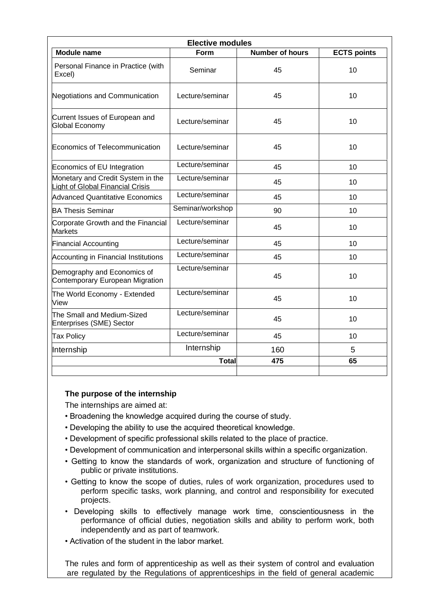| <b>Elective modules</b>                                                      |                  |                        |                    |
|------------------------------------------------------------------------------|------------------|------------------------|--------------------|
| <b>Module name</b>                                                           | Form             | <b>Number of hours</b> | <b>ECTS points</b> |
| Personal Finance in Practice (with<br>Excel)                                 | Seminar          | 45                     | 10                 |
| Negotiations and Communication                                               | Lecture/seminar  | 45                     | 10                 |
| Current Issues of European and<br>Global Economy                             | Lecture/seminar  | 45                     | 10                 |
| Economics of Telecommunication                                               | Lecture/seminar  | 45                     | 10                 |
| Economics of EU Integration                                                  | Lecture/seminar  | 45                     | 10                 |
| Monetary and Credit System in the<br><b>Light of Global Financial Crisis</b> | Lecture/seminar  | 45                     | 10                 |
| <b>Advanced Quantitative Economics</b>                                       | Lecture/seminar  | 45                     | 10                 |
| <b>BA Thesis Seminar</b>                                                     | Seminar/workshop | 90                     | 10                 |
| Corporate Growth and the Financial<br><b>Markets</b>                         | Lecture/seminar  | 45                     | 10                 |
| <b>Financial Accounting</b>                                                  | Lecture/seminar  | 45                     | 10                 |
| Accounting in Financial Institutions                                         | Lecture/seminar  | 45                     | 10                 |
| Demography and Economics of<br>Contemporary European Migration               | Lecture/seminar  | 45                     | 10                 |
| The World Economy - Extended<br>View                                         | Lecture/seminar  | 45                     | 10                 |
| The Small and Medium-Sized<br>Enterprises (SME) Sector                       | Lecture/seminar  | 45                     | 10                 |
| <b>Tax Policy</b>                                                            | Lecture/seminar  | 45                     | 10                 |
| Internship                                                                   | Internship       | 160                    | 5                  |
|                                                                              | <b>Total</b>     | 475                    | 65                 |
|                                                                              |                  |                        |                    |

#### **The purpose of the internship**

The internships are aimed at:

- Broadening the knowledge acquired during the course of study.
- Developing the ability to use the acquired theoretical knowledge.
- Development of specific professional skills related to the place of practice.
- Development of communication and interpersonal skills within a specific organization.
- Getting to know the standards of work, organization and structure of functioning of public or private institutions.
- Getting to know the scope of duties, rules of work organization, procedures used to perform specific tasks, work planning, and control and responsibility for executed projects.
- Developing skills to effectively manage work time, conscientiousness in the performance of official duties, negotiation skills and ability to perform work, both independently and as part of teamwork.
- Activation of the student in the labor market.

The rules and form of apprenticeship as well as their system of control and evaluation are regulated by the Regulations of apprenticeships in the field of general academic